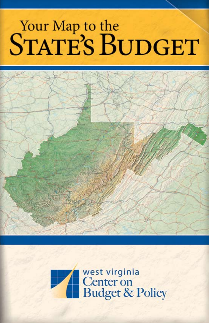# Your Map to the<br>STATE'S BUDGET



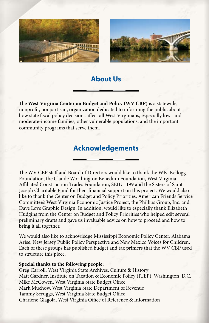



## **About Us**

The **West Virginia Center on Budget and Policy (WV CBP)** is a statewide, nonprofit, nonpartisan, organization dedicated to informing the public about how state fiscal policy decisions affect all West Virginians, especially low- and moderate-income families, other vulnerable populations, and the important community programs that serve them.

## **Acknowledgements**

The WV CBP staff and Board of Directors would like to thank the W.K. Kellogg Foundation, the Claude Worthington Benedum Foundation, West Virginia Affiliated Construction Trades Foundation, SEIU 1199 and the Sisters of Saint Joseph Charitable Fund for their financial support on this project. We would also like to thank the Center on Budget and Policy Priorities, American Friends Service Committee's West Virginia Economic Justice Project, the Phillips Group, Inc. and Dave Love Graphic Design. In addition, would like to especially thank Elizabeth Hudgins from the Center on Budget and Policy Priorities who helped edit several preliminary drafts and gave us invaluable advice on how to proceed and how to bring it all together.

We would also like to acknowledge Mississippi Economic Policy Center, Alabama Arise, New Jersey Public Policy Perspective and New Mexico Voices for Children. Each of these groups has published budget and tax primers that the WV CBP used to structure this piece.

#### **Special thanks to the following people:**

Greg Carroll, West Virginia State Archives, Culture & History Matt Gardner, Institute on Taxation & Economic Policy (ITEP), Washington, D.C. Mike McCowen, West Virginia State Budget Office Mark Muchow, West Virginia State Department of Revenue Tammy Scruggs, West Virginia State Budget Office Charlene Glagola, West Virginia Office of Reference & Information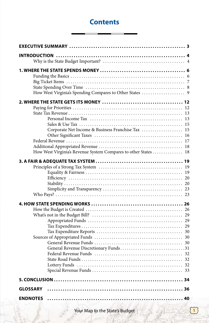# **Contents**

| Corporate Net Income & Business Franchise Tax<br>How West Virginia's Revenue System Compares to other States  18 | 15 |
|------------------------------------------------------------------------------------------------------------------|----|
|                                                                                                                  |    |
| General Revenue Discretionary Funds31                                                                            |    |
|                                                                                                                  |    |
| <b>GLOSSARY</b>                                                                                                  |    |
| <b>ENDNOTES</b>                                                                                                  |    |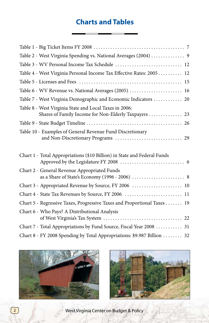# **Charts and Tables**

| Table 2 - West Virginia Spending vs. National Averages (2004)  9                                                |
|-----------------------------------------------------------------------------------------------------------------|
| Table 3 - WV Personal Income Tax Schedule  12                                                                   |
| Table 4 - West Virginia Personal Income Tax Effective Rates: 2005  12                                           |
|                                                                                                                 |
| Table 6 - WV Revenue vs. National Averages (2005)  16                                                           |
| Table 7 - West Virginia Demographic and Economic Indicators  20                                                 |
| Table 8 - West Virginia State and Local Taxes in 2006:<br>Shares of Family Income for Non-Elderly Taxpayers  23 |
|                                                                                                                 |
| Table 10 - Examples of General Revenue Fund Discretionary                                                       |
|                                                                                                                 |
| Chart 1 - Total Appropriations (\$10 Billion) in State and Federal Funds                                        |
| Chart 2 - General Revenue Appropriated Funds                                                                    |
| Chart 3 - Appropriated Revenue by Source, FY 2006  10                                                           |
| Chart 4 - State Tax Revenues by Source, FY 2006  11                                                             |
| Chart 5 - Regressive Taxes, Progressive Taxes and Proportional Taxes  19                                        |
| Chart 6 - Who Pays? A Distributional Analysis                                                                   |
| Chart 7 - Total Appropriations by Fund Source, Fiscal Year 2008  31                                             |



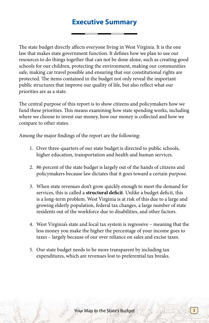# **Executive Summary**

The state budget directly affects everyone living in West Virginia. It is the one law that makes state government function. It defines how we plan to use our resources to do things together that can not be done alone, such as creating good schools for our children, protecting the environment, making our communities safe, making car travel possible and ensuring that our constitutional rights are protected. The items contained in the budget not only reveal the important public structures that improve our quality of life, but also reflect what our priorities are as a state.

The central purpose of this report is to show citizens and policymakers how we fund these priorities. This means examining how state spending works, including where we choose to invest our money, how our money is collected and how we compare to other states.

Among the major findings of the report are the following:

- 1. Over three-quarters of our state budget is directed to public schools, higher education, transportation and health and human services.
- 2. 86 percent of the state budget is largely out of the hands of citizens and policymakers because law dictates that it goes toward a certain purpose.
- 3. When state revenues don't grow quickly enough to meet the demand for services, this is called a **structural deficit**. Unlike a budget deficit, this is a long-term problem. West Virginia is at risk of this due to a large and growing elderly population, federal tax changes, a large number of state residents out of the workforce due to disabilities, and other factors.
- 4. West Virginia's state and local tax system is regressive meaning that the less money you make the higher the percentage of your income goes to taxes – largely because of our over reliance on sales and excise taxes.
- 5. Our state budget needs to be more transparent by including tax expenditures, which are revenues lost to preferential tax breaks.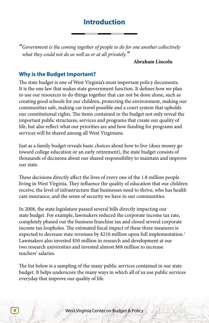# **Introduction**

*" Government is the coming together of people to do for one another collectively what they could not do as well as or at all privately."*

#### **Abraham Lincoln**

#### **Why is the Budget Important?**

The state budget is one of West Virginia's most important policy documents. It is the one law that makes state government function. It defines how we plan to use our resources to do things together that can not be done alone, such as creating good schools for our children, protecting the environment, making our communities safe, making car travel possible and a court system that upholds our constitutional rights. The items contained in the budget not only reveal the important public structures, services and programs that create our quality of life, but also reflect what our priorities are and how funding for programs and services will be shared among all West Virginians.

Just as a family budget reveals basic choices about how to live (does money go toward college education or an early retirement), the state budget consists of thousands of decisions about our shared responsibility to maintain and improve our state.

These decisions directly affect the lives of every one of the 1.8 million people living in West Virginia. They influence the quality of education that our children receive, the level of infrastructure that businesses need to thrive, who has health care insurance, and the sense of security we have in our communities.

In 2008, the state legislature passed several bills directly impacting our state budget. For example, lawmakers reduced the corporate income tax rate, completely phased out the business franchise tax and closed several corporate income tax loopholes. The estimated fiscal impact of these three measures is expected to decrease state revenues by \$210 million upon full implementation.<sup>1</sup> Lawmakers also invested \$50 million in research and development at our two research universities and invested almost \$68 million to increase teachers' salaries.

The list below is a sampling of the many public services contained in our state budget. It helps underscore the many ways in which all of us use public services everyday that improve our quality of life.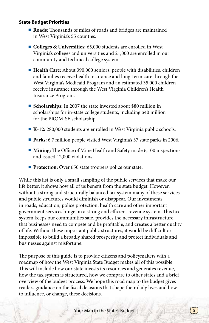#### **State Budget Priorities**

- <sup>n</sup> **Roads:** Thousands of miles of roads and bridges are maintained in West Virginia's 55 counties.
- <sup>n</sup> **Colleges & Universities:** 65,000 students are enrolled in West Virginia's colleges and universities and 21,000 are enrolled in our community and technical college system.
- <sup>n</sup> **Health Care:** About 390,000 seniors, people with disabilities, children and families receive health insurance and long-term care through the West Virginia's Medicaid Program and an estimated 35,000 children receive insurance through the West Virginia Children's Health Insurance Program.
- <sup>n</sup> **Scholarships:** In 2007 the state invested about \$80 million in scholarships for in-state college students, including \$40 million for the PROMISE scholarship.
- **K-12:** 280,000 students are enrolled in West Virginia public schools.
- **Parks:** 6.7 million people visited West Virginia's 37 state parks in 2006.
- Mining: The Office of Mine Health and Safety made 6,100 inspections and issued 12,000 violations.
- **Protection:** Over 650 state troopers police our state.

While this list is only a small sampling of the public services that make our life better, it shows how all of us benefit from the state budget. However, without a strong and structurally balanced tax system many of these services and public structures would diminish or disappear. Our investments in roads, education, police protection, health care and other important government services hinge on a strong and efficient revenue system. This tax system keeps our communities safe, provides the necessary infrastructure that businesses need to compete and be profitable, and creates a better quality of life. Without these important public structures, it would be difficult or impossible to build a broadly shared prosperity and protect individuals and businesses against misfortune.

The purpose of this guide is to provide citizens and policymakers with a roadmap of how the West Virginia State Budget makes all of this possible. This will include how our state invests its resources and generates revenue, how the tax system is structured, how we compare to other states and a brief overview of the budget process. We hope this road map to the budget gives readers guidance on the fiscal decisions that shape their daily lives and how to influence, or change, these decisions.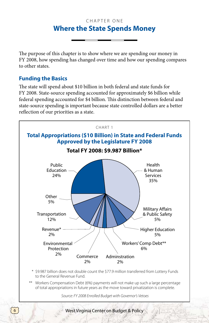## CHAPTER ONE **Where the State Spends Money**

The purpose of this chapter is to show where we are spending our money in FY 2008, how spending has changed over time and how our spending compares to other states.

## **Funding the Basics**

The state will spend about \$10 billion in both federal and state funds for FY 2008. State-source spending accounted for approximately \$6 billion while federal spending accounted for \$4 billion. This distinction between federal and state-source spending is important because state controlled dollars are a better reflection of our priorities as a state.



- to the General Revenue Fund.
- \*\* Workers Compensation Debt (6%) payments will not make up such a large percentage of total appropriations in future years as the move toward privatization is complete.

*Source: FY 2008 Enrolled Budget with Governor's Vetoes*

6 Superior Structure West Virginia Center on Budget & Policy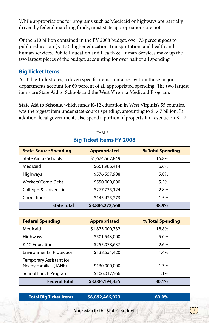While appropriations for programs such as Medicaid or highways are partially driven by federal matching funds, most state appropriations are not.

Of the \$10 billion contained in the FY 2008 budget, over 75 percent goes to public education (K-12), higher education, transportation, and health and human services. Public Education and Health & Human Services make up the two largest pieces of the budget, accounting for over half of all spending.

## **Big Ticket Items**

As Table 1 illustrates, a dozen specific items contained within those major departments account for 69 percent of all appropriated spending. The two largest items are State Aid to Schools and the West Virginia Medicaid Program.

**State Aid to Schools,** which funds K-12 education in West Virginia's 55 counties, was the biggest item under state-source spending, amounting to \$1.67 billion. In addition, local governments also spend a portion of property tax revenue on K-12

> TABLE 1 **Big Ticket Items FY 2008**

| <b>State-Source Spending</b>       | <b>Appropriated</b> | % Total Spending |
|------------------------------------|---------------------|------------------|
| <b>State Aid to Schools</b>        | \$1,674,567,849     | 16.8%            |
| Medicaid                           | \$661,986,414       | 6.6%             |
| <b>Highways</b>                    | \$576,557,908       | 5.8%             |
| Workers' Comp Debt                 | \$550,000,000       | 5.5%             |
| <b>Colleges &amp; Universities</b> | \$277,735,124       | 2.8%             |
| Corrections                        | \$145,425,273       | 1.5%             |
| <b>State Total</b>                 | \$3,886,272,568     | 38.9%            |

# **Federal Spending Appropriated % Total Spending** Medicaid **51,875,000,732** 18.8% Highways 5.0% 5501,543,000 K-12 Education  $$255,078,637$  2.6% Environmental Protection  $$138,554,420$  1.4% Temporary Assistant for Needy Families (TANF)  $$130,000,000$  1.3%

School Lunch Program  $$106,017,566$  1.1%  **Federal Total \$3,006,194,355 30.1%**

 **Total Big Ticket Items \$6,892,466,923 69.0%**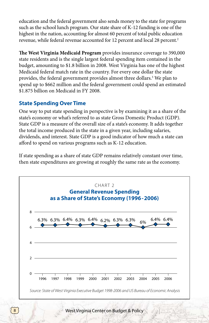education and the federal government also sends money to the state for programs such as the school lunch program. Our state share of K-12 funding is one of the highest in the nation, accounting for almost 60 percent of total public education revenue, while federal revenue accounted for 12 percent and local 28 percent.<sup>2</sup>

**The West Virginia Medicaid Program** provides insurance coverage to 390,000 state residents and is the single largest federal spending item contained in the budget, amounting to \$1.8 billion in 2008. West Virginia has one of the highest Medicaid federal match rate in the country. For every one dollar the state provides, the federal government provides almost three dollars.3 We plan to spend up to \$662 million and the federal government could spend an estimated \$1.875 billion on Medicaid in FY 2008.

## **State Spending Over Time**

 $\boldsymbol{8}$ 

One way to put state spending in perspective is by examining it as a share of the state's economy or what's referred to as state Gross Domestic Product (GDP). State GDP is a measure of the overall size of a state's economy. It adds together the total income produced in the state in a given year, including salaries, dividends, and interest. State GDP is a good indicator of how much a state can afford to spend on various programs such as K-12 education.

If state spending as a share of state GDP remains relatively constant over time, then state expenditures are growing at roughly the same rate as the economy.



West Virginia Center on Budget & Policy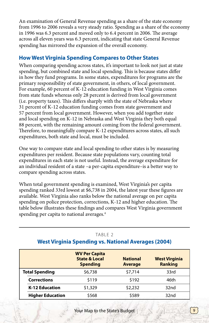An examination of General Revenue spending as a share of the state economy from 1996 to 2006 reveals a very steady ratio. Spending as a share of the economy in 1996 was 6.3 percent and moved only to 6.4 percent in 2006. The average across all eleven years was 6.3 percent, indicating that state General Revenue spending has mirrored the expansion of the overall economy.

## **How West Virginia Spending Compares to Other States**

When comparing spending across states, it's important to look not just at state spending, but combined state and local spending. This is because states differ in how they fund programs. In some states, expenditures for programs are the primary responsibility of state government, in others, of local government. For example, 60 percent of K-12 education funding in West Virginia comes from state funds whereas only 28 percent is derived from local government (i.e. property taxes). This differs sharply with the state of Nebraska where 31 percent of K-12 education funding comes from state government and 57 percent from local government. However, when you add together state and local spending on K-12 in Nebraska and West Virginia they both equal 88 percent, with the remaining amount coming from the federal government. Therefore, to meaningfully compare K-12 expenditures across states, all such expenditures, both state and local, must be included.

One way to compare state and local spending to other states is by measuring expenditures per resident. Because state populations vary, counting total expenditures in each state is not useful. Instead, the average expenditure for an individual resident of a state –a per-capita expenditure–is a better way to compare spending across states.

When total government spending is examined, West Virginia's per capita spending ranked 33rd lowest at \$6,738 in 2004, the latest year these figures are available. West Virginia also ranks below the national average on per capita spending on police protection, corrections, K-12 and higher education. The table below illustrates these findings and compares West Virginia government spending per capita to national averages.<sup>4</sup>

# **WV Per Capita State & Local National West Virginia Spending Average Ranking Total Spending**  $\begin{array}{ccc} $56,738 \end{array}$   $\begin{array}{ccc} $57,714 \end{array}$  33rd **Corrections** 5119 5192 46th **K-12 Education** \$1,329 \$2,232 32nd **Higher Education**  $$568$  \$589 32nd **West Virginia Spending vs. National Averages (2004)**

#### TABLE 2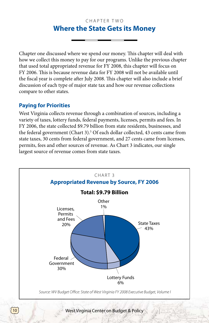## C H A P T F R T W O **Where the State Gets its Money**

Chapter one discussed where we spend our money. This chapter will deal with how we collect this money to pay for our programs. Unlike the previous chapter that used total appropriated revenue for FY 2008, this chapter will focus on FY 2006. This is because revenue data for FY 2008 will not be available until the fiscal year is complete after July 2008. This chapter will also include a brief discussion of each type of major state tax and how our revenue collections compare to other states.

## **Paying for Priorities**

West Virginia collects revenue through a combination of sources, including a variety of taxes, lottery funds, federal payments, licenses, permits and fees. In FY 2006, the state collected \$9.79 billion from state residents, businesses, and the federal government (Chart 3).<sup>5</sup> Of each dollar collected, 43 cents came from state taxes, 30 cents from federal government, and 27 cents came from licenses, permits, fees and other sources of revenue. As Chart 3 indicates, our single largest source of revenue comes from state taxes.

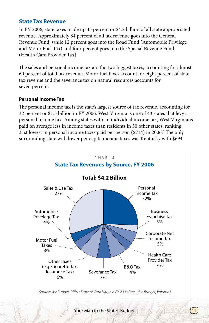## **State Tax Revenue**

In FY 2006, state taxes made up 43 percent or \$4.2 billion of all state appropriated revenue. Approximately 84 percent of all tax revenue goes into the General Revenue Fund, while 12 percent goes into the Road Fund (Automobile Privilege and Motor Fuel Tax) and four percent goes into the Special Revenue Fund (Health Care Provider Tax).

The sales and personal income tax are the two biggest taxes, accounting for almost 60 percent of total tax revenue. Motor fuel taxes account for eight percent of state tax revenue and the severance tax on natural resources accounts for seven percent.

#### **Personal Income Tax**

The personal income tax is the state's largest source of tax revenue, accounting for 32 percent or \$1.3 billion in FY 2006. West Virginia is one of 43 states that levy a personal income tax. Among states with an individual income tax, West Virginians paid on average less in income taxes than residents in 30 other states, ranking 31st lowest in personal income taxes paid per person (\$714) in 2006.6 The only surrounding state with lower per capita income taxes was Kentucky with \$694.

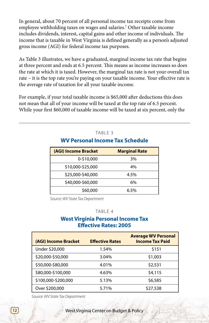In general, about 70 percent of all personal income tax receipts come from employee withholding taxes on wages and salaries.7 Other taxable income includes dividends, interest, capital gains and other income of individuals. The income that is taxable in West Virginia is defined generally as a person's adjusted gross income (AGI) for federal income tax purposes.

As Table 3 illustrates, we have a graduated, marginal income tax rate that begins at three percent and ends at 6.5 percent. This means as income increases so does the rate at which it is taxed. However, the marginal tax rate is not your overall tax rate – it is the top rate you're paying on your taxable income. Your effective rate is the average rate of taxation for all your taxable income.

For example, if your total taxable income is \$65,000 after deductions this does not mean that all of your income will be taxed at the top rate of 6.5 percent. While your first \$60,000 of taxable income will be taxed at six percent, only the

| <b>WV Personal Income Tax Schedule</b> |                      |  |  |
|----------------------------------------|----------------------|--|--|
| (AGI) Income Bracket                   | <b>Marginal Rate</b> |  |  |
| 0-\$10,000                             | 3%                   |  |  |
| \$10,000-\$25,000                      | 4%                   |  |  |
| \$25,000-\$40,000                      | 4.5%                 |  |  |
| \$40,000-\$60,000                      | 6%                   |  |  |
| \$60,000                               | 6.5%                 |  |  |

TABLE 3

*Source: WV State Tax Department*

#### TABLE 4

#### **West Virginia Personal Income Tax Effective Rates: 2005**

| (AGI) Income Bracket | <b>Effective Rates</b> | <b>Average WV Personal</b><br><b>Income Tax Paid</b> |
|----------------------|------------------------|------------------------------------------------------|
| Under \$20,000       | 1.54%                  | \$151                                                |
| \$20,000-\$50,000    | 3.04%                  | \$1,003                                              |
| \$50,000-\$80,000    | 4.01%                  | \$2,531                                              |
| \$80,000-\$100,000   | 4.63%                  | \$4,115                                              |
| \$100,000-\$200,000  | 5.13%                  | \$6,585                                              |
| Over \$200,000       | 5.71%                  | \$27,538                                             |

*Source: WV State Tax Department*

12<sup>)</sup> West Virginia Center on Budget & Policy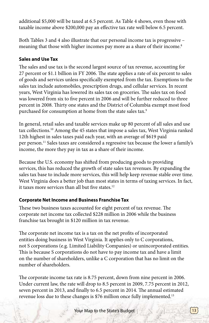additional \$5,000 will be taxed at 6.5 percent. As Table 4 shows, even those with taxable income above \$200,000 pay an effective tax rate well below 6.5 percent.

Both Tables 3 and 4 also illustrate that our personal income tax is progressive – meaning that those with higher incomes pay more as a share of their income.<sup>8</sup>

## **Sales and Use Tax**

The sales and use tax is the second largest source of tax revenue, accounting for 27 percent or \$1.1 billion in FY 2006. The state applies a rate of six percent to sales of goods and services unless specifically exempted from the tax. Exemptions to the sales tax include automobiles, prescription drugs, and cellular services. In recent years, West Virginia has lowered its sales tax on groceries. The sales tax on food was lowered from six to five percent in 2006 and will be further reduced to three percent in 2008. Thirty one states and the District of Columbia exempt most food purchased for consumption at home from the state sales tax.<sup>9</sup>

In general, retail sales and taxable services make up 80 percent of all sales and use tax collections.10 Among the 45 states that impose a sales tax, West Virginia ranked 12th highest in sales taxes paid each year, with an average of \$619 paid per person.11 Sales taxes are considered a regressive tax because the lower a family's income, the more they pay in tax as a share of their income.

Because the U.S. economy has shifted from producing goods to providing services, this has reduced the growth of state sales tax revenues. By expanding the sales tax base to include more services, this will help keep revenue stable over time. West Virginia does a better job than most states in terms of taxing services. In fact, it taxes more services than all but five states.<sup>12</sup>

#### **Corporate Net Income and Business Franchise Tax**

These two business taxes accounted for eight percent of tax revenue. The corporate net income tax collected \$228 million in 2006 while the business franchise tax brought in \$120 million in tax revenue.

The corporate net income tax is a tax on the net profits of incorporated entities doing business in West Virginia. It applies only to C corporations, not S corporations (e.g. Limited Liability Companies) or unincorporated entities. This is because S corporations do not have to pay income tax and have a limit on the number of shareholders, unlike a C corporation that has no limit on the number of shareholders.

The corporate income tax rate is 8.75 percent, down from nine percent in 2006. Under current law, the rate will drop to 8.5 percent in 2009, 7.75 percent in 2012, seven percent in 2013, and finally to 6.5 percent in 2014. The annual estimated revenue loss due to these changes is \$76 million once fully implemented.<sup>13</sup>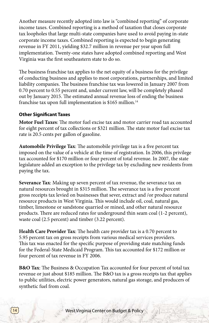Another measure recently adopted into law is "combined reporting" of corporate income taxes. Combined reporting is a method of taxation that closes corporate tax loopholes that large multi-state companies have used to avoid paying in-state corporate income taxes. Combined reporting is expected to begin generating revenue in FY 2011, yielding \$32.7 million in revenue per year upon full implementation. Twenty-one states have adopted combined reporting and West Virginia was the first southeastern state to do so.

The business franchise tax applies to the net equity of a business for the privilege of conducting business and applies to most corporations, partnerships, and limited liability companies. The business franchise tax was lowered in January 2007 from 0.70 percent to 0.55 percent and, under current law, will be completely phased out by January 2015. The estimated annual revenue loss of ending the business franchise tax upon full implementation is \$165 million.<sup>14</sup>

#### **Other Significant Taxes**

**Motor Fuel Taxes**: The motor fuel excise tax and motor carrier road tax accounted for eight percent of tax collections or \$321 million. The state motor fuel excise tax rate is 20.5 cents per gallon of gasoline.

**Automobile Privilege Tax**: The automobile privilege tax is a five percent tax imposed on the value of a vehicle at the time of registration. In 2006, this privilege tax accounted for \$170 million or four percent of total revenue. In 2007, the state legislature added an exception to the privilege tax by excluding new residents from paying the tax.

**Severance Tax**: Making up seven percent of tax revenue, the severance tax on natural resources brought in \$315 million. The severance tax is a five percent gross receipts tax levied on businesses that sever, extract and /or produce natural resource products in West Virginia. This would include oil, coal, natural gas, timber, limestone or sandstone quarried or mined, and other natural resource products. There are reduced rates for underground thin seam coal (1-2 percent), waste coal (2.5 percent) and timber (3.22 percent).

**Health Care Provider Tax**: The health care provider tax is a 0.70 percent to 5.95 percent tax on gross receipts from various medical services providers. This tax was enacted for the specific purpose of providing state matching funds for the Federal-State Medicaid Program. This tax accounted for \$172 million or four percent of tax revenue in FY 2006.

**B&O Tax**: The Business & Occupation Tax accounted for four percent of total tax revenue or just about \$185 million. The B&O tax is a gross receipts tax that applies to public utilities, electric power generators, natural gas storage, and producers of synthetic fuel from coal.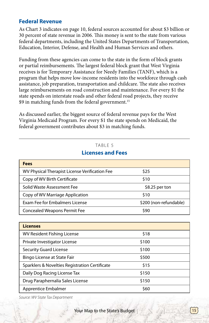## **Federal Revenue**

As Chart 3 indicates on page 10, federal sources accounted for about \$3 billion or 30 percent of state revenue in 2006. This money is sent to the state from various federal departments, including the United States Departments of Transportation, Education, Interior, Defense, and Health and Human Services and others.

Funding from these agencies can come to the state in the form of block grants or partial reimbursements. The largest federal block grant that West Virginia receives is for Temporary Assistance for Needy Families (TANF), which is a program that helps move low-income residents into the workforce through cash assistance, job preparation, transportation and childcare. The state also receives large reimbursements on road construction and maintenance. For every \$1 the state spends on interstate roads and other federal road projects, they receive \$9 in matching funds from the federal government.<sup>15</sup>

As discussed earlier, the biggest source of federal revenue pays for the West Virginia Medicaid Program. For every \$1 the state spends on Medicaid, the federal government contributes about \$3 in matching funds.

#### TABLE<sub>5</sub>

| Fees                                           |                        |
|------------------------------------------------|------------------------|
| WV Physical Therapist License Verification Fee | \$25                   |
| Copy of WV Birth Certificate                   | \$10                   |
| Solid Waste Assessment Fee                     | \$8.25 per ton         |
| Copy of WV Marriage Application                | \$10                   |
| Exam Fee for Embalmers License                 | \$200 (non-refundable) |
| <b>Concealed Weapons Permit Fee</b>            | S90                    |

#### **Licenses and Fees**

| <b>Licenses</b>                                |            |  |
|------------------------------------------------|------------|--|
| <b>WV Resident Fishing License</b>             | \$18       |  |
| Private Investigator License                   | \$100      |  |
| <b>Security Guard License</b>                  | \$100      |  |
| Bingo License at State Fair                    | \$500      |  |
| Sparklers & Novelties Registration Certificate | \$15       |  |
| Daily Dog Racing License Tax                   | \$150      |  |
| Drug Paraphernalia Sales License               | \$150      |  |
| Apprentice Embalmer                            | <b>S60</b> |  |

*Source: WV State Tax Department*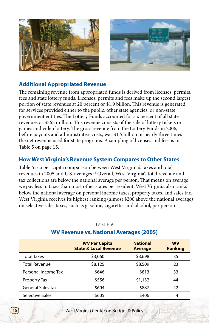



## **Additional Appropriated Revenue**

The remaining revenue from appropriated funds is derived from licenses, permits, fees and state lottery funds. Licenses, permits and fees make up the second largest portion of state revenues at 20 percent or \$1.9 billion. This revenue is generated for services provided either to the public, other state agencies, or non-state government entities. The Lottery Funds accounted for six percent of all state revenues or \$565 million. This revenue consists of the sale of lottery tickets or games and video lottery. The gross revenue from the Lottery Funds in 2006, before payouts and administrative costs, was \$1.5 billion or nearly three times the net revenue used for state programs. A sampling of licenses and fees is in Table 5 on page 15.

## **How West Virginia's Revenue System Compares to Other States**

Table 6 is a per capita comparison between West Virginia's taxes and total revenues in 2005 and U.S. averages.16 Overall, West Virginia's total revenue and tax collections are below the national average per person. That means on average we pay less in taxes than most other states per resident. West Virginia also ranks below the national average on personal income taxes, property taxes, and sales tax. West Virginia receives its highest ranking (almost \$200 above the national average) on selective sales taxes, such as gasoline, cigarettes and alcohol, per person.

|                          | <b>WV Per Capita</b><br><b>State &amp; Local Revenue</b> | <b>National</b><br><b>Average</b> | <b>WV</b><br><b>Ranking</b> |
|--------------------------|----------------------------------------------------------|-----------------------------------|-----------------------------|
| <b>Total Taxes</b>       | \$3,060                                                  | \$3,698                           | 35                          |
| <b>Total Revenue</b>     | \$8,125                                                  | \$8,509                           | 23                          |
| Personal Income Tax      | \$646                                                    | \$813                             | 33                          |
| Property Tax             | \$556                                                    | \$1,132                           | 44                          |
| <b>General Sales Tax</b> | \$604                                                    | \$887                             | 42                          |
| Selective Sales          | \$605                                                    | \$406                             | 4                           |

#### TABIF<sub>6</sub>

#### **WV Revenue vs. National Averages (2005)**

16) West Virginia Center on Budget & Policy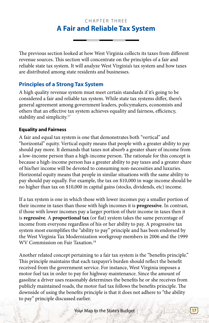## CHAPTER THREE **A Fair and Reliable Tax System**

The previous section looked at how West Virginia collects its taxes from different revenue sources. This section will concentrate on the principles of a fair and reliable state tax system. It will analyze West Virginia's tax system and how taxes are distributed among state residents and businesses.

## **Principles of a Strong Tax System**

A high quality revenue system must meet certain standards if it's going to be considered a fair and reliable tax system. While state tax systems differ, there's general agreement among government leaders, policymakers, economists and others that an effective tax system achieves equality and fairness, efficiency, stability and simplicity.<sup>17</sup>

#### **Equality and Fairness**

A fair and equal tax system is one that demonstrates both "vertical" and "horizontal" equity. Vertical equity means that people with a greater ability to pay should pay more. It demands that taxes not absorb a greater share of income from a low-income person than a high-income person. The rationale for this concept is because a high-income person has a greater ability to pay taxes and a greater share of his/her income will be devoted to consuming non-necessities and luxuries. Horizontal equity means that people in similar situations with the same ability to pay should pay equally. For example, the tax on \$10,000 in wage income should be no higher than tax on \$10,000 in capital gains (stocks, dividends, etc) income.

If a tax system is one in which those with lower incomes pay a smaller portion of their income in taxes than those with high incomes it is **progressive**. In contrast, if those with lower incomes pay a larger portion of their income in taxes then it is **regressive**. A **proportional tax** (or flat) system takes the same percentage of income from everyone regardless of his or her ability to pay. A progressive tax system most exemplifies the "ability to pay" principle and has been endorsed by the West Virginia Tax Modernization workgroup members in 2006 and the 1999 WV Commission on Fair Taxation.18

Another related concept pertaining to a fair tax system is the "benefits principle." This principle maintains that each taxpayer's burden should reflect the benefit received from the government service. For instance, West Virginia imposes a motor fuel tax in order to pay for highway maintenance. Since the amount of gasoline a driver uses reasonably determines the benefits he or she receives from publicly maintained roads, the motor fuel tax follows the benefits principle. The downside of using the benefits principle is that it does not adhere to "the ability to pay" principle discussed earlier.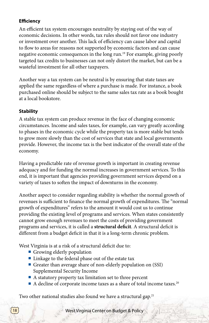## **Efficiency**

An efficient tax system encourages neutrality by staying out of the way of economic decisions. In other words, tax rules should not favor one industry or investment over another. This lack of efficiency can cause labor and capital to flow to areas for reasons not supported by economic factors and can cause negative economic consequences in the long run.19 For example, giving poorly targeted tax credits to businesses can not only distort the market, but can be a wasteful investment for all other taxpayers.

Another way a tax system can be neutral is by ensuring that state taxes are applied the same regardless of where a purchase is made. For instance, a book purchased online should be subject to the same sales tax rate as a book bought at a local bookstore.

#### **Stability**

A stable tax system can produce revenue in the face of changing economic circumstances. Income and sales taxes, for example, can vary greatly according to phases in the economic cycle while the property tax is more stable but tends to grow more slowly than the cost of services that state and local governments provide. However, the income tax is the best indicator of the overall state of the economy.

Having a predictable rate of revenue growth is important in creating revenue adequacy and for funding the normal increases in government services. To this end, it is important that agencies providing government services depend on a variety of taxes to soften the impact of downturns in the economy.

Another aspect to consider regarding stability is whether the normal growth of revenues is sufficient to finance the normal growth of expenditures. The "normal growth of expenditures" refers to the amount it would cost us to continue providing the existing level of programs and services. When states consistently cannot grow enough revenues to meet the costs of providing government programs and services, it is called a **structural deficit**. A structural deficit is different from a budget deficit in that it is a long-term chronic problem.

West Virginia is at a risk of a structural deficit due to:

- **n** Growing elderly population
- $\blacksquare$  Linkage to the federal phase out of the estate tax
- <sup>n</sup> Greater than average share of non-elderly population on (SSI) Supplemental Security Income
- $\blacksquare$  A statutory property tax limitation set to three percent
- $\blacksquare$  A decline of corporate income taxes as a share of total income taxes.<sup>20</sup>

Two other national studies also found we have a structural gap.<sup>21</sup>

18<sup>)</sup> West Virginia Center on Budget & Policy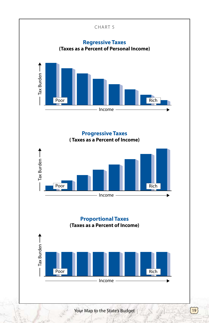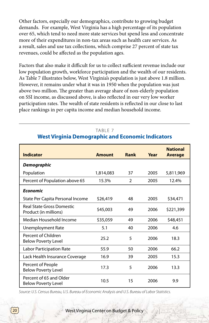Other factors, especially our demographics, contribute to growing budget demands. For example, West Virginia has a high percentage of its population over 65, which tend to need more state services but spend less and concentrate more of their expenditures in non-tax areas such as health care services. As a result, sales and use tax collections, which comprise 27 percent of state tax revenues, could be affected as the population ages.

Factors that also make it difficult for us to collect sufficient revenue include our low population growth, workforce participation and the wealth of our residents. As Table 7 illustrates below, West Virginia's population is just above 1.8 million. However, it remains under what it was in 1950 when the population was just above two million. The greater than average share of non-elderly population on SSI income, as discussed above, is also reflected in our very low worker participation rates. The wealth of state residents is reflected in our close to last place rankings in per capita income and median household income.

|                                                           |               |      |      | <b>National</b> |
|-----------------------------------------------------------|---------------|------|------|-----------------|
| Indicator                                                 | <b>Amount</b> | Rank | Year | <b>Average</b>  |
| <b>Demographic</b>                                        |               |      |      |                 |
| Population                                                | 1,814,083     | 37   | 2005 | 5,811,969       |
| Percent of Population above 65                            | 15.3%         | 2    | 2005 | 12.4%           |
| <b>Economic</b>                                           |               |      |      |                 |
| State Per Capita Personal Income                          | \$26,419      | 48   | 2005 | \$34,471        |
| <b>Real State Gross Domestic</b><br>Product (in millions) | \$45,003      | 49   | 2006 | \$221,399       |
| Median Household Income                                   | \$35,059      | 49   | 2006 | \$48,451        |
| Unemployment Rate                                         | 5.1           | 40   | 2006 | 4.6             |
| Percent of Children<br><b>Below Poverty Level</b>         | 25.2          | 5    | 2006 | 18.3            |
| <b>Labor Participation Rate</b>                           | 55.9          | 50   | 2006 | 66.2            |
| Lack Health Insurance Coverage                            | 16.9          | 39   | 2005 | 15.3            |
| Percent of People<br><b>Below Poverty Level</b>           | 17.3          | 5    | 2006 | 13.3            |
| Percent of 65 and Older<br><b>Below Poverty Level</b>     | 10.5          | 15   | 2006 | 9.9             |

## TABI F 7 **West Virginia Demographic and Economic Indicators**

*Source: U.S. Census Bureau, U.S. Bureau of Economic Analysis and U.S. Bureau of Labor Statistics.* 

20<sup>)</sup> West Virginia Center on Budget & Policy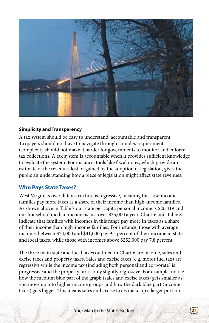

#### **Simplicity and Transparency**

A tax system should be easy to understand, accountable and transparent. Taxpayers should not have to navigate through complex requirements. Complexity should not make it harder for governments to monitor and enforce tax collections. A tax system is accountable when it provides sufficient knowledge to evaluate the system. For instance, tools like fiscal notes, which provide an estimate of the revenues lost or gained by the adoption of legislation, gives the public an understanding how a piece of legislation might affect state revenues.

#### **Who Pays State Taxes?**

West Virginia's overall tax structure is regressive, meaning that low-income families pay more taxes as a share of their income than high-income families. As shown above in Table 7 our state per capita personal income is \$26,419 and our household median income is just over \$35,000 a year. Chart 6 and Table 8 indicate that families with incomes in this range pay more in taxes as a share of their income than high-income families. For instance, those with average incomes between \$24,000 and \$41,000 pay 9.5 percent of their income in state and local taxes, while those with incomes above \$252,000 pay 7.8 percent.

The three main state and local taxes outlined in Chart 6 are income, sales and excise taxes and property taxes. Sales and excise taxes (e.g. motor fuel tax) are regressive while the income tax (including both personal and corporate) is progressive and the property tax is only slightly regressive. For example, notice how the medium blue part of the graph (sales and excise taxes) gets smaller as you move up into higher income groups and how the dark blue part (income taxes) gets bigger. This means sales and excise taxes make up a larger portion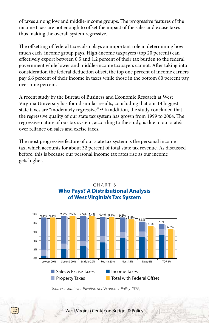of taxes among low and middle-income groups. The progressive features of the income taxes are not enough to offset the impact of the sales and excise taxes thus making the overall system regressive.

The offsetting of federal taxes also plays an important role in determining how much each income group pays. High-income taxpayers (top 20 percent) can effectively export between 0.5 and 1.2 percent of their tax burden to the federal government while lower and middle-income taxpayers cannot. After taking into consideration the federal deduction offset, the top one percent of income earners pay 6.6 percent of their income in taxes while those in the bottom 80 percent pay over nine percent.

A recent study by the Bureau of Business and Economic Research at West Virginia University has found similar results, concluding that our 14 biggest state taxes are "moderately regressive." 22 In addition, the study concluded that the regressive quality of our state tax system has grown from 1999 to 2004. The regressive nature of our tax system, according to the study, is due to our state's over reliance on sales and excise taxes.

The most progressive feature of our state tax system is the personal income tax, which accounts for about 32 percent of total state tax revenue. As discussed before, this is because our personal income tax rates rise as our income gets higher.

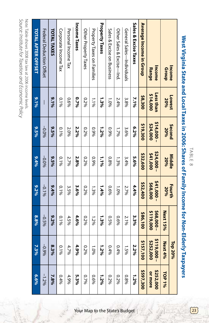Source: Institute for Taxation and Economic Policy Note: Table shows 2008 taw at 2006 income levels. *Source: Institute for Taxation and Economic Policy* Note: Table shows 2008 tax law at 2006 income levels.

| West Virginia State and Local Issex is 2006: Shares of Lamily I year to be the state in infect). It |                              |                         | LABLE 8              |                     |                       |                          | axpayers             |
|-----------------------------------------------------------------------------------------------------|------------------------------|-------------------------|----------------------|---------------------|-----------------------|--------------------------|----------------------|
| Income                                                                                              | Lowest                       | Second                  | Middle               | Fourth              |                       | Top 20%                  |                      |
| Group                                                                                               | 20%                          | 20%                     | 20%                  | 20%                 | <b>Next 15%</b>       | <b>Next 4%</b>           | TOP 1%               |
| Income<br>Range                                                                                     | <b>Less than</b><br>\$14,000 | $514,000 -$<br>\$24,000 | \$24,000<br>000'1+\$ | 000,142<br>\$68,000 | \$68,000-<br>5119,000 | \$119,000 -<br>\$252,000 | \$252,000<br>or more |
| Average Income in Group                                                                             | \$8,300                      | \$19,300                | \$32,600             | \$52,400            | \$86,100              | \$157,100                | \$597,300            |
| Sales & Excise Taxes                                                                                | $7.1\%$                      | 6.2%                    | 5.6%                 | 4.4%                | 3.3%                  | 2.2%                     | 1.2%                 |
| General Sales—Individuals                                                                           | 3.8%                         | 3.6%                    | 3.4%                 | 2.7%                | 2.1%                  | 1.5%                     | $0.8\%$              |
| Other Sales & Excise——Ind                                                                           | 2.4%                         | 1.7%                    | 1.3%                 | 1.0%                | 0.6%                  | 0.4%                     | 0.2%                 |
| Sales & Excise on Business                                                                          | 1.0%                         | 0.9%                    | 968.0                | 0.6%                | 0.5%                  | 0.4%                     | 0.2%                 |
| <b>Property Taxes</b>                                                                               | 1.3%                         | 1.2%                    | 1.1%                 | $1.4\%$             | 1.3%                  | 1.2%                     | 1.2%                 |
| Property Taxes on Families                                                                          | 1.1%                         | 0.9%                    | 0.9%                 | 1.3%                | 1.2%                  | 1.0%                     | 969°0                |
| Other Property Taxes                                                                                | 0.2%                         | 0.2%                    | 0.2%                 | 0.2%                | 0.2%                  | 0.2%                     | 0.7%                 |
| Income Taxes                                                                                        | 0.7%                         | 2.2%                    | 2.8%                 | 3.6%                | 4.6%                  | 4.9%                     | 5.3%                 |
| Personal Income Tax                                                                                 | 9690                         | 2.0%                    | 2.7%                 | 3.5%                | 4.5%                  | 4.7%                     | 4.9%                 |
| Corporate Income Tax                                                                                | $0.1\%$                      | 0.1%                    | 0.1%                 | 0.1%                | 0.1%                  | 0.1%                     | 0.496                |
| <b>TOTAL TAXES</b>                                                                                  | $9.1\%$                      | $9.5\%$                 | $9.5\%$              | 9,4%                | $9.2\%$               | 8.3%                     | $7.8\%$              |
| Federal Dedricion Offset                                                                            |                              | %0'0-                   | $-0.096$             | $-0.1%$             | $-0.5\%$              | -0.9%                    | $-1.2%$              |
| <b>TOTAL AFTER OFFSET</b>                                                                           | 9/1.96                       | 9656                    | 9.496                | 9,2%                | 8.8%                  | 7.3%                     | 6.6%                 |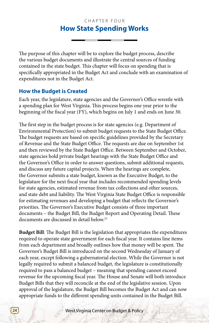## CHAPTER FOUR **How State Spending Works**

The purpose of this chapter will be to explore the budget process, describe the various budget documents and illustrate the central sources of funding contained in the state budget. This chapter will focus on spending that is specifically appropriated in the Budget Act and conclude with an examination of expenditures not in the Budget Act.

## **How the Budget is Created**

Each year, the legislature, state agencies and the Governor's Office wrestle with a spending plan for West Virginia. This process begins one year prior to the beginning of the fiscal year (FY), which begins on July 1 and ends on June 30.

The first step in the budget process is for state agencies (e.g. Department of Environmental Protection) to submit budget requests to the State Budget Office. The budget requests are based on specific guidelines provided by the Secretary of Revenue and the State Budget Office. The requests are due on September 1st and then reviewed by the State Budget Office. Between September and October, state agencies hold private budget hearings with the State Budget Office and the Governor's Office in order to answer questions, submit additional requests, and discuss any future capital projects. When the hearings are complete, the Governor submits a state budget, known as the Executive Budget, to the legislature for the next fiscal year that includes recommended spending levels for state agencies, estimated revenue from tax collections and other sources, and state debt and liability. The West Virginia State Budget Office is responsible for estimating revenues and developing a budget that reflects the Governor's priorities. The Governor's Executive Budget consists of three important documents – the Budget Bill, the Budget Report and Operating Detail. These documents are discussed in detail below.23

**Budget Bill**: The Budget Bill is the legislation that appropriates the expenditures required to operate state government for each fiscal year. It contains line items from each department and broadly outlines how that money will be spent. The Governor's Budget Bill is introduced on the second Wednesday of January of each year, except following a gubernatorial election. While the Governor is not legally required to submit a balanced budget, the legislature is constitutionally required to pass a balanced budget – meaning that spending cannot exceed revenue for the upcoming fiscal year. The House and Senate will both introduce Budget Bills that they will reconcile at the end of the legislative session. Upon approval of the legislature, the Budget Bill becomes the Budget Act and can now appropriate funds to the different spending units contained in the Budget Bill.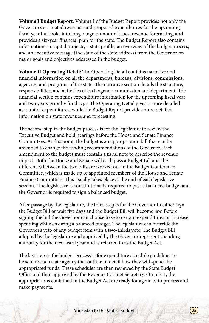**Volume I Budget Report**: Volume I of the Budget Report provides not only the Governor's estimated revenues and proposed expenditures for the upcoming fiscal year but looks into long-range economic issues, revenue forecasting, and provides a six-year financial plan for the state. The Budget Report also contains information on capital projects, a state profile, an overview of the budget process, and an executive message (the state of the state address) from the Governor on major goals and objectives addressed in the budget.

**Volume II Operating Detail**: The Operating Detail contains narrative and financial information on all the departments, bureaus, divisions, commissions, agencies, and programs of the state. The narrative section details the structure, responsibilities, and activities of each agency, commission and department. The financial section contains expenditure information for the upcoming fiscal year and two years prior by fund type. The Operating Detail gives a more detailed account of expenditures, while the Budget Report provides more detailed information on state revenues and forecasting.

The second step in the budget process is for the legislature to review the Executive Budget and hold hearings before the House and Senate Finance Committees. At this point, the budget is an appropriation bill that can be amended to change the funding recommendations of the Governor. Each amendment to the budget must contain a fiscal note to describe the revenue impact. Both the House and Senate will each pass a Budget Bill and the differences between the two bills are worked out in the Budget Conference Committee, which is made up of appointed members of the House and Senate Finance Committees. This usually takes place at the end of each legislative session. The legislature is constitutionally required to pass a balanced budget and the Governor is required to sign a balanced budget.

After passage by the legislature, the third step is for the Governor to either sign the Budget Bill or wait five days and the Budget Bill will become law. Before signing the bill the Governor can choose to veto certain expenditures or increase spending while ensuring a balanced budget. The legislature can override the Governor's veto of any budget item with a two-thirds vote. The Budget Bill adopted by the legislature and approved by the Governor represent spending authority for the next fiscal year and is referred to as the Budget Act.

The last step in the budget process is for expenditure schedule guidelines to be sent to each state agency that outline in detail how they will spend the appropriated funds. These schedules are then reviewed by the State Budget Office and then approved by the Revenue Cabinet Secretary. On July 1, the appropriations contained in the Budget Act are ready for agencies to process and make payments.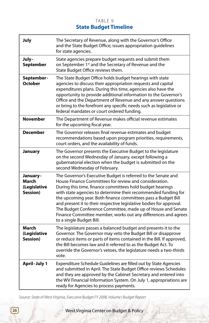## TABLE 9 **State Budget Timeline**

| July                                           | The Secretary of Revenue, along with the Governor's Office<br>and the State Budget Office, issues appropriation guidelines<br>for state agencies.                                                                                                                                                                                                                                                                                                                                                                                                            |
|------------------------------------------------|--------------------------------------------------------------------------------------------------------------------------------------------------------------------------------------------------------------------------------------------------------------------------------------------------------------------------------------------------------------------------------------------------------------------------------------------------------------------------------------------------------------------------------------------------------------|
| July-<br><b>September</b>                      | State agencies prepare budget requests and submit them<br>on September 1 <sup>st</sup> and the Secretary of Revenue and the<br>State Budget Office reviews them.                                                                                                                                                                                                                                                                                                                                                                                             |
| September-<br><b>October</b>                   | The State Budget Office holds budget hearings with state<br>agencies to discuss their appropriation requests and capital<br>expenditures plans. During this time, agencies also have the<br>opportunity to provide additional information to the Governor's<br>Office and the Department of Revenue and any answer questions<br>or bring to the forefront any specific needs such as legislative or<br>federal mandates or court ordered funding.                                                                                                            |
| <b>November</b>                                | The Department of Revenue makes official revenue estimates<br>for the upcoming fiscal year.                                                                                                                                                                                                                                                                                                                                                                                                                                                                  |
| <b>December</b>                                | The Governor releases final revenue estimates and budget<br>recommendations based upon program priorities, requirements,<br>court orders, and the availability of funds.                                                                                                                                                                                                                                                                                                                                                                                     |
| January                                        | The Governor presents the Executive Budget to the legislature<br>on the second Wednesday of January, except following a<br>gubernatorial election when the budget is submitted on the<br>second Wednesday of February.                                                                                                                                                                                                                                                                                                                                       |
| January -<br>March<br>(Legislative<br>Session) | The Governor's Executive Budget is referred to the Senate and<br>House Finance Committees for review and consideration.<br>During this time, finance committees hold budget hearings<br>with state agencies to determine their recommended funding for<br>the upcoming year. Both finance committees pass a Budget Bill<br>and present it to their respective legislative bodies for approval.<br>The Budget Conference Committee, made up of House and Senate<br>Finance Committee member, works out any differences and agrees<br>to a single Budget Bill. |
| March<br>(Legislative<br>Session)              | The legislature passes a balanced budget and presents it to the<br>Governor. The Governor may veto the Budget Bill or disapprove<br>or reduce items or parts of items contained in the Bill. If approved,<br>the Bill becomes law and it referred to as the Budget Act. To<br>override the Governor's vetoes, the legislature needs a two-thirds<br>vote.                                                                                                                                                                                                    |
| April-July 1                                   | Expenditure Schedule Guidelines are filled out by State Agencies<br>and submitted in April. The State Budget Office reviews Schedules<br>and they are approved by the Cabinet Secretary and entered into<br>the WV Financial Information System. On July 1, appropriations are<br>ready for Agencies to process payments.                                                                                                                                                                                                                                    |

*Source: State of West Virginia, Executive Budget FY 2008, Volume I Budget Report*

26 West Virginia Center on Budget & Policy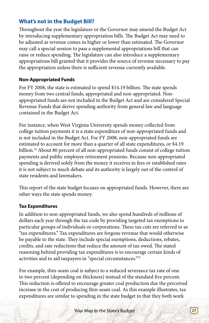## **What's not in the Budget Bill?**

Throughout the year the legislature or the Governor may amend the Budget Act by introducing supplementary appropriation bills. The Budget Act may need to be adjusted as revenue comes in higher or lower than estimated. The Governor may call a special session to pass a supplemental appropriations bill that can raise or reduce spending. The legislature can also introduce a supplementary appropriations bill granted that it provides the source of revenue necessary to pay the appropriation unless there is sufficient revenue currently available.

#### **Non-Appropriated Funds**

For FY 2008, the state is estimated to spend \$14.19 billion. The state spends money from two central funds, appropriated and non-appropriated. Nonappropriated funds are not included in the Budget Act and are considered Special Revenue Funds that derive spending authority from general law and language contained in the Budget Act.

For instance, when West Virginia University spends money collected from college tuition payments it is a state expenditure of non-appropriated funds and is not included in the Budget Act. For FY 2008, non-appropriated funds are estimated to account for more than a quarter of all state expenditures, or \$4.19 billion.<sup>24</sup> About 80 percent of all non-appropriated funds consist of college tuition payments and public employee retirement pensions. Because non-appropriated spending is derived solely from the money it receives in fees or established rates it is not subject to much debate and its authority is largely out of the control of state residents and lawmakers.

This report of the state budget focuses on appropriated funds. However, there are other ways the state spends money.

#### **Tax Expenditures**

In addition to non-appropriated funds, we also spend hundreds of millions of dollars each year through the tax code by providing targeted tax exemptions to particular groups of individuals or corporations. These tax cuts are referred to as "tax expenditures." Tax expenditures are forgone revenue that would otherwise be payable to the state. They include special exemptions, deductions, rebates, credits, and rate reductions that reduce the amount of tax owed. The stated reasoning behind providing tax expenditures is to encourage certain kinds of activities and to aid taxpayers in "special circumstances."25

For example, thin-seam coal is subject to a reduced severance tax rate of one to two percent (depending on thickness) instead of the standard five percent. This reduction is offered to encourage greater coal production due the perceived increase in the cost of producing thin-seam coal. As this example illustrates, tax expenditures are similar to spending in the state budget in that they both work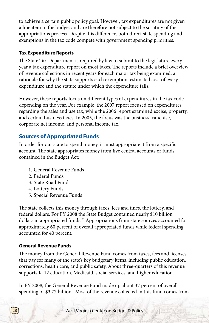to achieve a certain public policy goal. However, tax expenditures are not given a line item in the budget and are therefore not subject to the scrutiny of the appropriations process. Despite this difference, both direct state spending and exemptions in the tax code compete with government spending priorities.

#### **Tax Expenditure Reports**

The State Tax Department is required by law to submit to the legislature every year a tax expenditure report on most taxes. The reports include a brief overview of revenue collections in recent years for each major tax being examined, a rationale for why the state supports each exemption, estimated cost of every expenditure and the statute under which the expenditure falls.

However, these reports focus on different types of expenditures in the tax code depending on the year. For example, the 2007 report focused on expenditures regarding the sales and use tax, while the 2006 report examined excise, property, and certain business taxes. In 2005, the focus was the business franchise, corporate net income, and personal income tax.

## **Sources of Appropriated Funds**

In order for our state to spend money, it must appropriate it from a specific account. The state appropriates money from five central accounts or funds contained in the Budget Act:

- 1. General Revenue Funds
- 2. Federal Funds
- 3. State Road Funds
- 4. Lottery Funds
- 5. Special Revenue Funds

The state collects this money through taxes, fees and fines, the lottery, and federal dollars. For FY 2008 the State Budget contained nearly \$10 billion dollars in appropriated funds.<sup>26</sup> Appropriations from state sources accounted for approximately 60 percent of overall appropriated funds while federal spending accounted for 40 percent.

#### **General Revenue Funds**

The money from the General Revenue Fund comes from taxes, fees and licenses that pay for many of the state's key budgetary items, including public education, corrections, health care, and public safety. About three-quarters of this revenue supports K-12 education, Medicaid, social services, and higher education.

In FY 2008, the General Revenue Fund made up about 37 percent of overall spending or \$3.77 billion. Most of the revenue collected in this fund comes from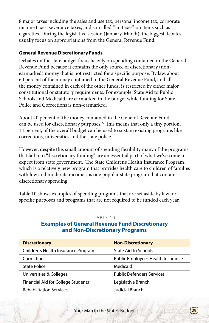8 major taxes including the sales and use tax, personal income tax, corporate income taxes, severance taxes, and so-called "sin taxes" on items such as cigarettes. During the legislative session (January-March), the biggest debates usually focus on appropriations from the General Revenue Fund.

#### **General Revenue Discretionary Funds**

Debates on the state budget focus heavily on spending contained in the General Revenue Fund because it contains the only source of discretionary (nonearmarked) money that is not restricted for a specific purpose. By law, about 60 percent of the money contained in the General Revenue Fund, and all the money contained in each of the other funds, is restricted by either major constitutional or statutory requirements. For example, State Aid to Public Schools and Medicaid are earmarked in the budget while funding for State Police and Corrections is non-earmarked.

About 40 percent of the money contained in the General Revenue Fund can be used for discretionary purposes.<sup>27</sup> This means that only a tiny portion, 14 percent, of the overall budget can be used to sustain existing programs like corrections, universities and the state police.

However, despite this small amount of spending flexibility many of the programs that fall into "discretionary funding" are an essential part of what we've come to expect from state government. The State Children's Health Insurance Program, which is a relatively new program that provides health care to children of families with low and moderate incomes, is one popular state program that contains discretionary spending.

Table 10 shows examples of spending programs that are set aside by law for specific purposes and programs that are not required to be funded each year.

#### TABLE 10

#### **Examples of General Revenue Fund Discretionary and Non-Discretionary Programs**

| <b>Discretionary</b>                | <b>Non-Discretionary</b>          |
|-------------------------------------|-----------------------------------|
| Children's Health Insurance Program | State Aid to Schools              |
| Corrections                         | Public Employees Health Insurance |
| <b>State Police</b>                 | Medicaid                          |
| Universities & Colleges             | <b>Public Defenders Services</b>  |
| Financial Aid for College Students  | Legislative Branch                |
| <b>Rehabilitation Services</b>      | Judicial Branch                   |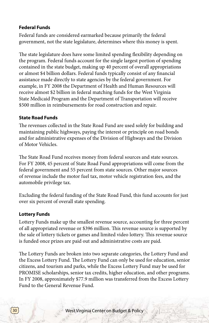#### **Federal Funds**

Federal funds are considered earmarked because primarily the federal government, not the state legislature, determines where this money is spent.

The state legislature does have some limited spending flexibility depending on the program. Federal funds account for the single largest portion of spending contained in the state budget, making up 40 percent of overall appropriations or almost \$4 billion dollars. Federal funds typically consist of any financial assistance made directly to state agencies by the federal government. For example, in FY 2008 the Department of Health and Human Resources will receive almost \$2 billion in federal matching funds for the West Virginia State Medicaid Program and the Department of Transportation will receive \$500 million in reimbursements for road construction and repair.

#### **State Road Funds**

The revenues collected in the State Road Fund are used solely for building and maintaining public highways, paying the interest or principle on road bonds and for administrative expenses of the Division of Highways and the Division of Motor Vehicles.

The State Road Fund receives money from federal sources and state sources. For FY 2008, 45 percent of State Road Fund appropriations will come from the federal government and 55 percent from state sources. Other major sources of revenue include the motor fuel tax, motor vehicle registration fees, and the automobile privilege tax.

Excluding the federal funding of the State Road Fund, this fund accounts for just over six percent of overall state spending.

#### **Lottery Funds**

Lottery Funds make up the smallest revenue source, accounting for three percent of all appropriated revenue or \$396 million. This revenue source is supported by the sale of lottery tickets or games and limited video lottery. This revenue source is funded once prizes are paid out and administrative costs are paid.

The Lottery Funds are broken into two separate categories, the Lottery Fund and the Excess Lottery Fund. The Lottery Fund can only be used for education, senior citizens, and tourism and parks, while the Excess Lottery Fund may be used for PROMISE scholarships, senior tax credits, higher education, and other programs. In FY 2008, approximately \$77.9 million was transferred from the Excess Lottery Fund to the General Revenue Fund.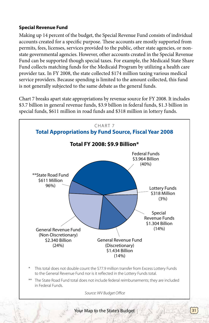## **Special Revenue Fund**

Making up 14 percent of the budget, the Special Revenue Fund consists of individual accounts created for a specific purpose. These accounts are mostly supported from permits, fees, licenses, services provided to the public, other state agencies, or nonstate governmental agencies. However, other accounts created in the Special Revenue Fund can be supported though special taxes. For example, the Medicaid State Share Fund collects matching funds for the Medicaid Program by utilizing a health care provider tax. In FY 2008, the state collected \$174 million taxing various medical service providers. Because spending is limited to the amount collected, this fund is not generally subjected to the same debate as the general funds.

Chart 7 breaks apart state appropriations by revenue source for FY 2008. It includes \$3.7 billion in general revenue funds, \$3.9 billion in federal funds, \$1.3 billion in special funds, \$611 million in road funds and \$318 million in lottery funds.



\*\* The State Road Fund total does not include federal reimbursements; they are included in Federal Funds.

*Source: WV Budget Office*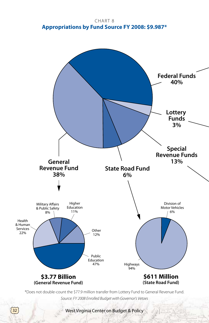CHART<sub>8</sub> **Appropriations by Fund Source FY 2008: \$9.987\***



*Source: FY 2008 Enrolled Budget with Governor's Vetoes*

32<sup>)</sup> West Virginia Center on Budget & Policy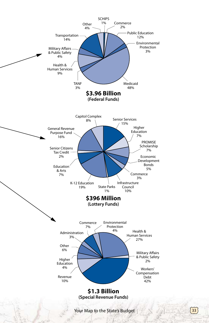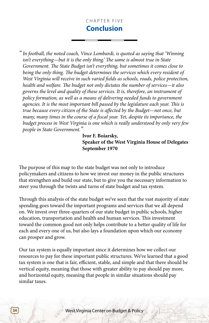## CHAPTER FIVE **Conclusion**

*" In football, the noted coach, Vince Lombardi, is quoted as saying that 'Winning isn't everything—but it is the only thing.' The same is almost true in State Government. The State Budget isn't everything, but sometimes it comes close to being the only thing. The budget determines the services which every resident of West Virginia will receive in such varied fields as schools, roads, police protection, health and welfare. The budget not only dictates the number of services—it also governs the level and quality of these services. It is, therefore, an instrument of policy formation, as well as a means of delivering needed funds to government agencies. It is the most important bill passed by the legislature each year. This is true because every citizen of the State is affected by the Budget—not once, but many, many times in the course of a fiscal year. Yet, despite its importance, the budget process in West Virginia is one which is really understood by only very few people in State Government."*

> **Ivor F. Boiarsky, Speaker of the West Virginia House of Delegates September 1970**

The purpose of this map to the state budget was not only to introduce policymakers and citizens to how we invest our money in the public structures that strengthen and build our state, but to give you the necessary information to steer you through the twists and turns of state budget and tax system.

Through this analysis of the state budget we've seen that the vast majority of state spending goes toward the important programs and services that we all depend on. We invest over three-quarters of our state budget in public schools, higher education, transportation and health and human services. This investment toward the common good not only helps contribute to a better quality of life for each and every one of us, but also lays a foundation upon which our economy can prosper and grow.

Our tax system is equally important since it determines how we collect our resources to pay for these important public structures. We've learned that a good tax system is one that is fair, efficient, stable, and simple and that there should be vertical equity, meaning that those with greater ability to pay should pay more, and horizontal equity, meaning that people in similar situations should pay similar taxes.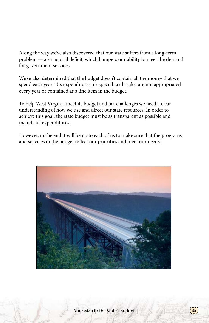Along the way we've also discovered that our state suffers from a long-term problem — a structural deficit, which hampers our ability to meet the demand for government services.

We've also determined that the budget doesn't contain all the money that we spend each year. Tax expenditures, or special tax breaks, are not appropriated every year or contained as a line item in the budget.

To help West Virginia meet its budget and tax challenges we need a clear understanding of how we use and direct our state resources. In order to achieve this goal, the state budget must be as transparent as possible and include all expenditures.

However, in the end it will be up to each of us to make sure that the programs and services in the budget reflect our priorities and meet our needs.

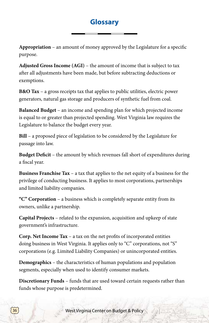# **Glossary**

**Appropriation** – an amount of money approved by the Legislature for a specific purpose.

**Adjusted Gross Income (AGI)** – the amount of income that is subject to tax after all adjustments have been made, but before subtracting deductions or exemptions.

**B&O Tax** – a gross receipts tax that applies to public utilities, electric power generators, natural gas storage and producers of synthetic fuel from coal.

**Balanced Budget** – an income and spending plan for which projected income is equal to or greater than projected spending. West Virginia law requires the Legislature to balance the budget every year.

**Bill** – a proposed piece of legislation to be considered by the Legislature for passage into law.

**Budget Deficit** – the amount by which revenues fall short of expenditures during a fiscal year.

**Business Franchise Tax** – a tax that applies to the net equity of a business for the privilege of conducting business. It applies to most corporations, partnerships and limited liability companies.

**"C" Corporation** – a business which is completely separate entity from its owners, unlike a partnership.

**Capital Projects** – related to the expansion, acquisition and upkeep of state government's infrastructure.

**Corp. Net Income Tax** – a tax on the net profits of incorporated entities doing business in West Virginia. It applies only to "C" corporations, not "S" corporations (e.g. Limited Liability Companies) or unincorporated entities.

**Demographics** – the characteristics of human populations and population segments, especially when used to identify consumer markets.

**Discretionary Funds** – funds that are used toward certain requests rather than funds whose purpose is predetermined.

**36** West Virginia Center on Budget & Policy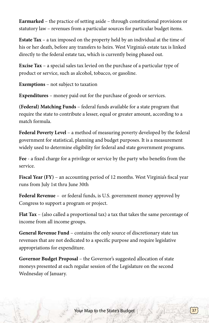**Earmarked** – the practice of setting aside – through constitutional provisions or statutory law – revenues from a particular sources for particular budget items.

**Estate Tax** – a tax imposed on the property held by an individual at the time of his or her death, before any transfers to heirs. West Virginia's estate tax is linked directly to the federal estate tax, which is currently being phased out.

**Excise Tax** – a special sales tax levied on the purchase of a particular type of product or service, such as alcohol, tobacco, or gasoline.

**Exemptions** – not subject to taxation

**Expenditures** – money paid out for the purchase of goods or services.

**(Federal) Matching Funds** – federal funds available for a state program that require the state to contribute a lesser, equal or greater amount, according to a match formula.

**Federal Poverty Level** – a method of measuring poverty developed by the federal government for statistical, planning and budget purposes. It is a measurement widely used to determine eligibility for federal and state government programs.

**Fee** - a fixed charge for a privilege or service by the party who benefits from the service.

Fiscal Year (FY) – an accounting period of 12 months. West Virginia's fiscal year runs from July 1st thru June 30th

**Federal Revenue** – or federal funds, is U.S. government money approved by Congress to support a program or project.

**Flat Tax** – (also called a proportional tax) a tax that takes the same percentage of income from all income groups.

**General Revenue Fund** – contains the only source of discretionary state tax revenues that are not dedicated to a specific purpose and require legislative appropriations for expenditure.

**Governor Budget Proposal** – the Governor's suggested allocation of state moneys presented at each regular session of the Legislature on the second Wednesday of January.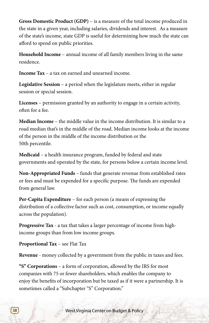**Gross Domestic Product (GDP)** – is a measure of the total income produced in the state in a given year, including salaries, dividends and interest. As a measure of the state's income, state GDP is useful for determining how much the state can afford to spend on public priorities.

**Household Income** – annual income of all family members living in the same residence.

**Income Tax** – a tax on earned and unearned income.

**Legislative Session** – a period when the legislature meets, either in regular session or special session.

**Licenses** – permission granted by an authority to engage in a certain activity, often for a fee.

**Median Income** – the middle value in the income distribution. It is similar to a road median that's in the middle of the road. Median income looks at the income of the person in the middle of the income distribution or the 50th percentile.

**Medicaid** – a health insurance program, funded by federal and state governments and operated by the state, for persons below a certain income level.

**Non-Appropriated Funds** – funds that generate revenue from established rates or fees and must be expended for a specific purpose. The funds are expended from general law.

**Per-Capita Expenditure** – for each person (a means of expressing the distribution of a collective factor such as cost, consumption, or income equally across the population).

**Progressive Tax** - a tax that takes a larger percentage of income from highincome groups than from low income groups.

**Proportional Tax** – see Flat Tax

**Revenue** - money collected by a government from the public in taxes and fees.

**"S" Corporations** – a form of corporation, allowed by the IRS for most companies with 75 or fewer shareholders, which enables the company to enjoy the benefits of incorporation but be taxed as if it were a partnership. It is sometimes called a "Subchapter "S" Corporation."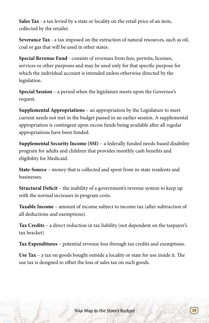**Sales Tax** - a tax levied by a state or locality on the retail price of an item, collected by the retailer.

**Severance Tax** - a tax imposed on the extraction of natural resources, such as oil, coal or gas that will be used in other states.

**Special Revenue Fund** - consists of revenues from fees, permits, licenses, services or other purposes and may be used only for that specific purpose for which the individual account is intended unless otherwise directed by the legislation.

**Special Session** – a period when the legislature meets upon the Governor's request.

**Supplemental Appropriations** – an appropriation by the Legislature to meet current needs not met in the budget passed in an earlier session. A supplemental appropriation is contingent upon excess funds being available after all regular appropriations have been funded.

**Supplemental Security Income (SSI)** – a federally funded needs-based disability program for adults and children that provides monthly cash benefits and eligibility for Medicaid.

**State-Source** – money that is collected and spent from in-state residents and businesses.

**Structural Deficit** – the inability of a government's revenue system to keep up with the normal increases in program costs.

**Taxable Income** – amount of income subject to income tax (after subtraction of all deductions and exemptions).

**Tax Credits** – a direct reduction in tax liability (not dependent on the taxpayer's tax bracket)

**Tax Expenditures** – potential revenue loss through tax credits and exemptions.

**Use Tax** – a tax on goods bought outside a locality or state for use inside it. The use tax is designed to offset the loss of sales tax on such goods.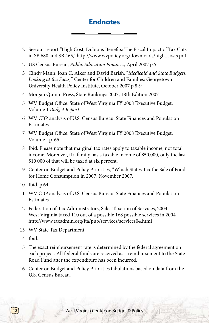# **Endnotes**

- 2 See our report "High Cost, Dubious Benefits: The Fiscal Impact of Tax Cuts in SB 680 and SB 465," http://www.wvpolicy.org/downloads/high\_costs.pdf
- 2 US Census Bureau, *Public Education Finances*, April 2007 p.5
- 3 Cindy Mann, Joan C. Alker and David Barish, "*Medicaid and State Budgets: Looking at the Facts,*" Center for Children and Families: Georgetown University Health Policy Institute, October 2007 p.8-9
- 4 Morgan Quinto Press, State Rankings 2007, 18th Edition 2007
- 5 WV Budget Office: State of West Virginia FY 2008 Executive Budget, Volume 1 *Budget Report*
- 6 WV CBP analysis of U.S. Census Bureau, State Finances and Population **Estimates**
- 7 WV Budget Office: State of West Virginia FY 2008 Executive Budget, Volume I p. 65
- 8 Ibid. Please note that marginal tax rates apply to taxable income, not total income. Moreover, if a family has a taxable income of \$50,000, only the last \$10,000 of that will be taxed at six percent.
- 9 Center on Budget and Policy Priorities, "Which States Tax the Sale of Food for Home Consumption in 2007, November 2007.
- 10 Ibid. p.64
- 11 WV CBP analysis of U.S. Census Bureau, State Finances and Population Estimates
- 12 Federation of Tax Administrators, Sales Taxation of Services, 2004. West Virginia taxed 110 out of a possible 168 possible services in 2004 http://www.taxadmin.org/fta/pub/services/services04.html
- 13 WV State Tax Department
- 14 Ibid.
- 15 The exact reimbursement rate is determined by the federal agreement on each project. All federal funds are received as a reimbursement to the State Road Fund after the expenditure has been incurred.
- 16 Center on Budget and Policy Priorities tabulations based on data from the U.S. Census Bureau.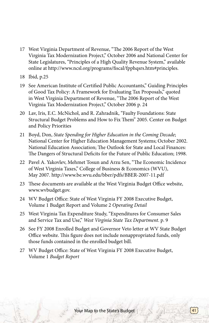- 17 West Virginia Department of Revenue, "The 2006 Report of the West Virginia Tax Modernization Project," October 2006 and National Center for State Legislatures, "Principles of a High Quality Revenue System," available online at http://www.ncsl.org/programs/fiscal/fpphqsrs.htm#principles.
- 18 Ibid, p.25
- 19 See American Institute of Certified Public Accountants," Guiding Principles of Good Tax Policy: A Framework for Evaluating Tax Proposals," quoted in West Virginia Department of Revenue, "The 2006 Report of the West Virginia Tax Modernization Project," October 2006 p. 24
- 20 Lav, Iris, E.C. McNichol, and R. Zahradnik, "Faulty Foundations: State Structural Budget Problems and How to Fix Them" 2005. Center on Budget and Policy Priorities
- 21 Boyd, Don, *State Spending for Higher Education in the Coming Decade*; National Center for Higher Education Management Systems; October 2002. National Education Association; The Outlook for State and Local Finances: The Dangers of Structural Deficits for the Future of Public Education; 1998.
- 22 Pavel A. Yakovlev, Mehmet Tosun and Arzu Sen, "The Economic Incidence of West Virginia Taxes," College of Business & Economics (WVU), May 2007. http://www.be.wvu.edu/bber/pdfs/BBER-2007-11.pdf
- 23 These documents are available at the West Virginia Budget Office website, www.wvbudget.gov.
- 24 WV Budget Office: State of West Virginia FY 2008 Executive Budget, Volume 1 Budget Report and Volume 2 *Operating Detail*
- 25 West Virginia Tax Expenditure Study, "Expenditures for Consumer Sales and Service Tax and Use," *West Virginia State Tax Department*. p. 9
- 26 See FY 2008 Enrolled Budget and Governor Veto letter at WV State Budget Office website. This figure does not include nonappropriated funds, only those funds contained in the enrolled budget bill.
- 27 WV Budget Office: State of West Virginia FY 2008 Executive Budget, Volume 1 *Budget Report*